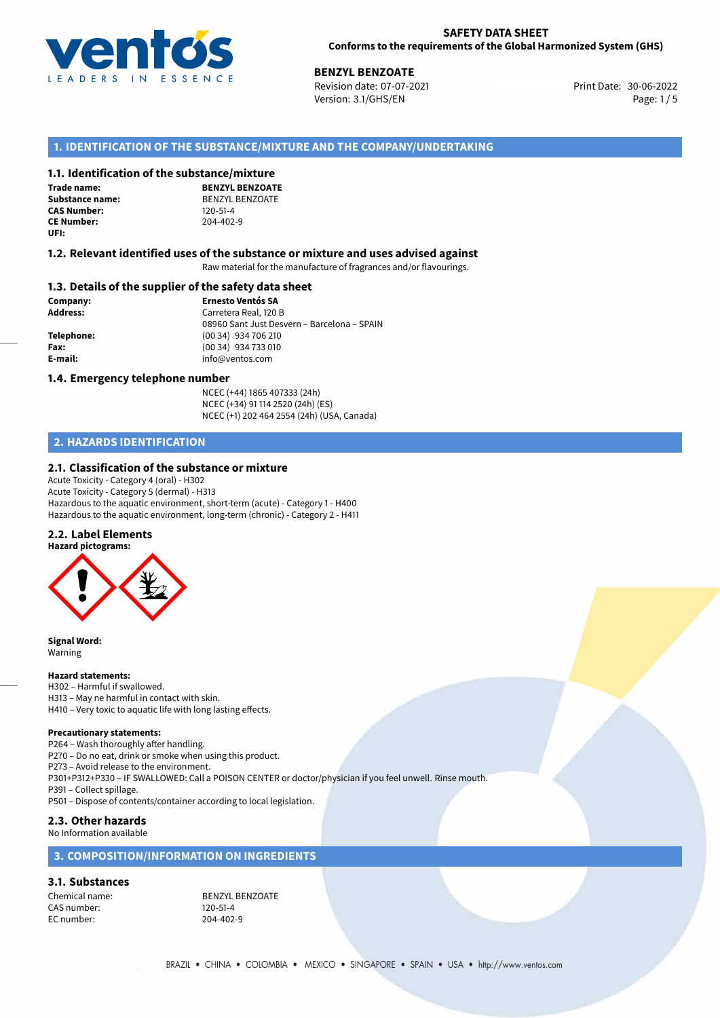

## **SAFETY DATA SHEET Conforms to the requirements of the Global Harmonized System (GHS)**

**30-06-2022 BENZOATE**<br>30-06-2022 Revision date: 07-07-2021 Revision date: 07-07-2021 Version: 3.1/GHS/EN Page: 1 / 5

# **1. IDENTIFICATION OF THE SUBSTANCE/MIXTURE AND THE COMPANY/UNDERTAKING**

## **1.1. Identification of the substance/mixture**

**Trade name: CAS Number: CE Number:** 204-402-9 **UFI:**

**BENZYL BENZOATE Substance name:** BENZYL BENZOATE<br> **CAS Number:** 120-51-4

## **1.2. Relevant identified uses of the substance or mixture and uses advised against**

Raw material for the manufacture of fragrances and/or flavourings.

## **1.3. Details of the supplier of the safety data sheet**

**Company: Ernesto Ventós SA Address:** Carretera Real, 120 B 08960 Sant Just Desvern – Barcelona – SPAIN **Telephone:** (00 34) 934 706 210 **Fax:** (00 34) 934 733 010 **E-mail:** info@ventos.com

## **1.4. Emergency telephone number**

NCEC (+44) 1865 407333 (24h) NCEC (+34) 91 114 2520 (24h) (ES) NCEC (+1) 202 464 2554 (24h) (USA, Canada)

# **2. HAZARDS IDENTIFICATION**

## **2.1. Classification of the substance or mixture**

Acute Toxicity - Category 4 (oral) - H302 Acute Toxicity - Category 5 (dermal) - H313 Hazardous to the aquatic environment, short-term (acute) - Category 1 - H400 Hazardous to the aquatic environment, long-term (chronic) - Category 2 - H411

## **2.2. Label Elements**





**Signal Word:** Warning

## **Hazard statements:**

H302 – Harmful if swallowed. H313 – May ne harmful in contact with skin. H410 – Very toxic to aquatic life with long lasting effects.

## **Precautionary statements:**

P264 – Wash thoroughly after handling.

P270 – Do no eat, drink or smoke when using this product.

P273 – Avoid release to the environment.

P301+P312+P330 – IF SWALLOWED: Call a POISON CENTER or doctor/physician if you feel unwell. Rinse mouth.

P391 – Collect spillage.

P501 – Dispose of contents/container according to local legislation.

## **2.3. Other hazards**

No Information available

## **3. COMPOSITION/INFORMATION ON INGREDIENTS**

## **3.1. Substances**

CAS number: 120-51-4<br>EC number: 204-402

Chemical name: BENZYL BENZOATE 204-402-9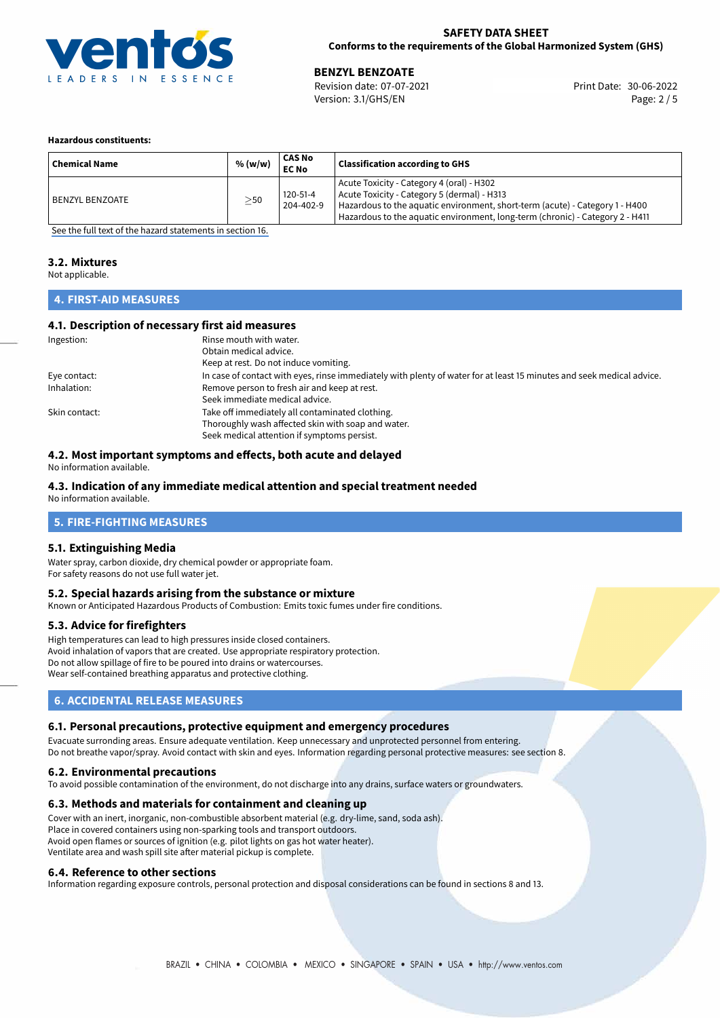

## **SAFETY DATA SHEET Conforms to the requirements of the Global Harmonized System (GHS)**

**30 BENZYL BENZOATE**<br>
Revision date: 07-07-2021 **Print Date: 30-06-2022** Version: 3.1/GHS/EN Page: 2 / 5

## **Hazardous constituents:**

| <b>Chemical Name</b> | % (w/w)   | CAS No<br><b>EC No</b> | <b>Classification according to GHS</b>                                                                                                                                                                                                                    |
|----------------------|-----------|------------------------|-----------------------------------------------------------------------------------------------------------------------------------------------------------------------------------------------------------------------------------------------------------|
| BENZYL BENZOATE      | $\geq$ 50 | 120-51-4<br>204-402-9  | Acute Toxicity - Category 4 (oral) - H302<br>Acute Toxicity - Category 5 (dermal) - H313<br>Hazardous to the aquatic environment, short-term (acute) - Category 1 - H400<br>Hazardous to the aquatic environment, long-term (chronic) - Category 2 - H411 |

[See the full text of the hazard statements in section 16.](#page-4-0)

# **3.2. Mixtures**

Not applicable.

# **4. FIRST-AID MEASURES**

## **4.1. Description of necessary first aid measures**

| Ingestion:    | Rinse mouth with water.                                                                                               |
|---------------|-----------------------------------------------------------------------------------------------------------------------|
|               | Obtain medical advice.                                                                                                |
|               | Keep at rest. Do not induce vomiting.                                                                                 |
| Eye contact:  | In case of contact with eyes, rinse immediately with plenty of water for at least 15 minutes and seek medical advice. |
| Inhalation:   | Remove person to fresh air and keep at rest.                                                                          |
|               | Seek immediate medical advice.                                                                                        |
| Skin contact: | Take off immediately all contaminated clothing.                                                                       |
|               | Thoroughly wash affected skin with soap and water.                                                                    |
|               | Seek medical attention if symptoms persist.                                                                           |

# **4.2. Most important symptoms and effects, both acute and delayed**

No information available.

# **4.3. Indication of any immediate medical attention and special treatment needed**

No information available.

# **5. FIRE-FIGHTING MEASURES**

## **5.1. Extinguishing Media**

Water spray, carbon dioxide, dry chemical powder or appropriate foam. For safety reasons do not use full water jet.

## **5.2. Special hazards arising from the substance or mixture**

Known or Anticipated Hazardous Products of Combustion: Emits toxic fumes under fire conditions.

## **5.3. Advice for firefighters**

High temperatures can lead to high pressures inside closed containers. Avoid inhalation of vapors that are created. Use appropriate respiratory protection. Do not allow spillage of fire to be poured into drains or watercourses. Wear self-contained breathing apparatus and protective clothing.

# **6. ACCIDENTAL RELEASE MEASURES**

## **6.1. Personal precautions, protective equipment and emergency procedures**

Evacuate surronding areas. Ensure adequate ventilation. Keep unnecessary and unprotected personnel from entering. Do not breathe vapor/spray. Avoid contact with skin and eyes. Information regarding personal protective measures: see section 8.

## **6.2. Environmental precautions**

To avoid possible contamination of the environment, do not discharge into any drains, surface waters or groundwaters.

## **6.3. Methods and materials for containment and cleaning up**

Cover with an inert, inorganic, non-combustible absorbent material (e.g. dry-lime, sand, soda ash). Place in covered containers using non-sparking tools and transport outdoors. Avoid open flames or sources of ignition (e.g. pilot lights on gas hot water heater). Ventilate area and wash spill site after material pickup is complete.

## **6.4. Reference to other sections**

Information regarding exposure controls, personal protection and disposal considerations can be found in sections 8 and 13.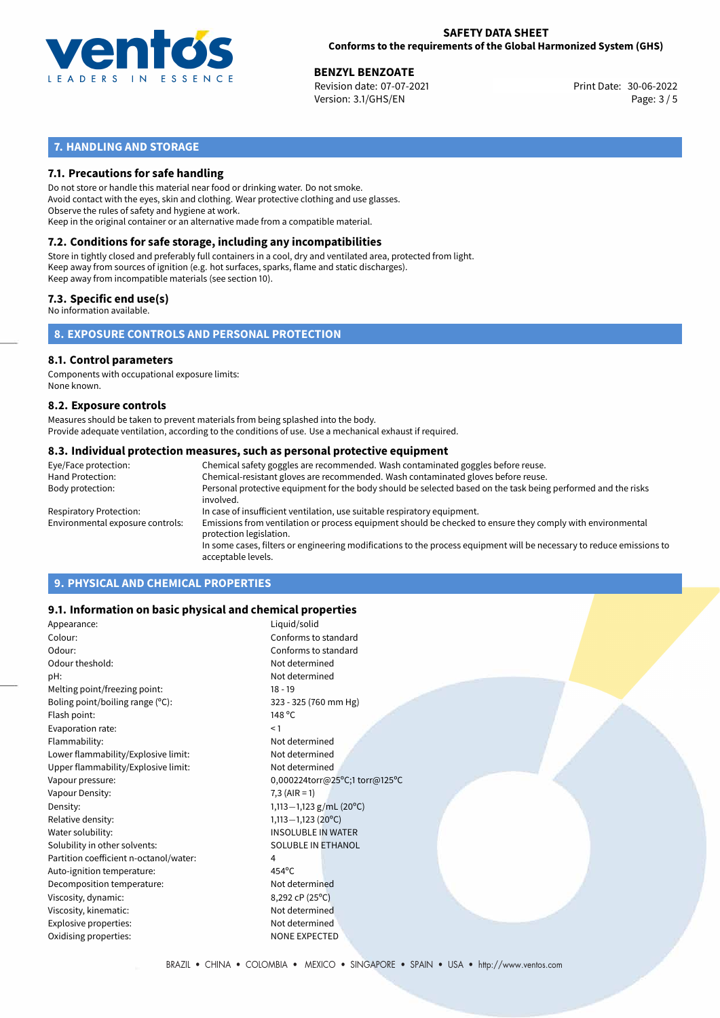

## **SAFETY DATA SHEET Conforms to the requirements of the Global Harmonized System (GHS)**

**30 BENZYL BENZOATE**<br>
Revision date: 07-07-2021 **Print Date: 30-06-2022** Version: 3.1/GHS/EN Page: 3 / 5

# **7. HANDLING AND STORAGE**

## **7.1. Precautions for safe handling**

Do not store or handle this material near food or drinking water. Do not smoke. Avoid contact with the eyes, skin and clothing. Wear protective clothing and use glasses. Observe the rules of safety and hygiene at work. Keep in the original container or an alternative made from a compatible material.

# **7.2. Conditions for safe storage, including any incompatibilities**

Store in tightly closed and preferably full containers in a cool, dry and ventilated area, protected from light. Keep away from sources of ignition (e.g. hot surfaces, sparks, flame and static discharges). Keep away from incompatible materials (see section 10).

## **7.3. Specific end use(s)**

No information available.

**8. EXPOSURE CONTROLS AND PERSONAL PROTECTION**

# **8.1. Control parameters**

Components with occupational exposure limits: None known.

## **8.2. Exposure controls**

Measures should be taken to prevent materials from being splashed into the body. Provide adequate ventilation, according to the conditions of use. Use a mechanical exhaust if required.

## **8.3. Individual protection measures, such as personal protective equipment**

| Eye/Face protection:             | Chemical safety goggles are recommended. Wash contaminated goggles before reuse.                                                            |
|----------------------------------|---------------------------------------------------------------------------------------------------------------------------------------------|
| Hand Protection:                 | Chemical-resistant gloves are recommended. Wash contaminated gloves before reuse.                                                           |
| Body protection:                 | Personal protective equipment for the body should be selected based on the task being performed and the risks<br>involved.                  |
| Respiratory Protection:          | In case of insufficient ventilation, use suitable respiratory equipment.                                                                    |
| Environmental exposure controls: | Emissions from ventilation or process equipment should be checked to ensure they comply with environmental<br>protection legislation.       |
|                                  | In some cases, filters or engineering modifications to the process equipment will be necessary to reduce emissions to<br>acceptable levels. |
|                                  |                                                                                                                                             |

# **9. PHYSICAL AND CHEMICAL PROPERTIES**

## **9.1. Information on basic physical and chemical properties**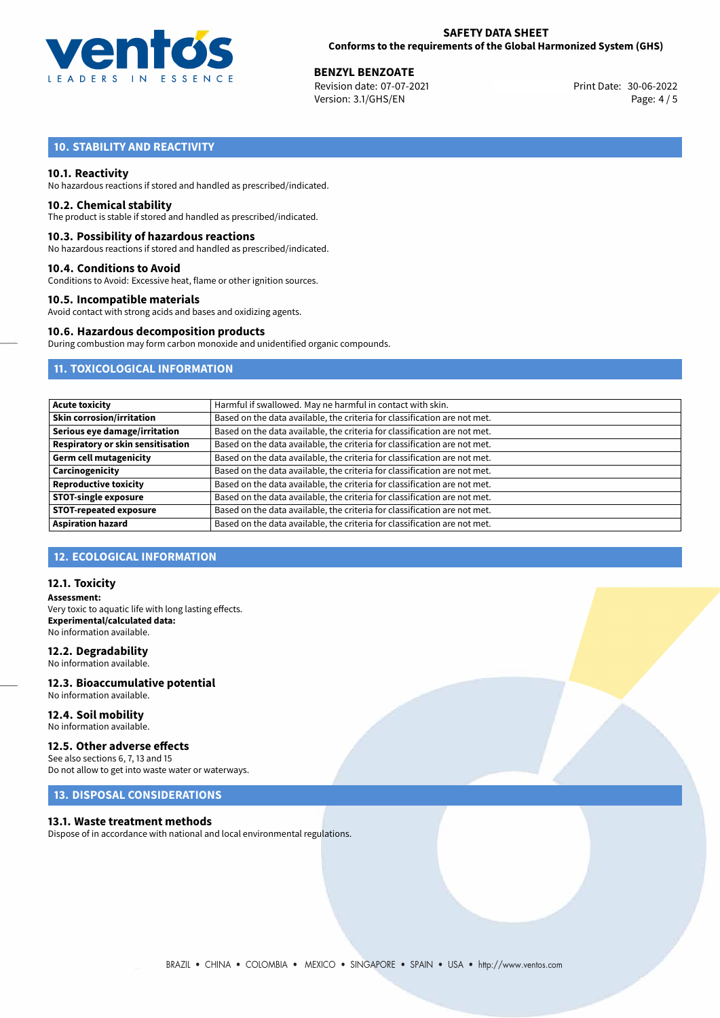

**30 BENZYL BENZOATE**<br>
Revision date: 07-07-2021 **Print Date: 30-06-2022** Version: 3.1/GHS/EN Page: 4 / 5

# **10. STABILITY AND REACTIVITY**

## **10.1. Reactivity**

No hazardous reactions if stored and handled as prescribed/indicated.

## **10.2. Chemical stability**

The product is stable if stored and handled as prescribed/indicated.

## **10.3. Possibility of hazardous reactions**

No hazardous reactions if stored and handled as prescribed/indicated.

## **10.4. Conditions to Avoid**

Conditions to Avoid: Excessive heat, flame or other ignition sources.

## **10.5. Incompatible materials**

Avoid contact with strong acids and bases and oxidizing agents.

## **10.6. Hazardous decomposition products**

During combustion may form carbon monoxide and unidentified organic compounds.

# **11. TOXICOLOGICAL INFORMATION**

| Acute toxicity                    | Harmful if swallowed. May ne harmful in contact with skin.                |
|-----------------------------------|---------------------------------------------------------------------------|
| Skin corrosion/irritation         | Based on the data available, the criteria for classification are not met. |
| Serious eye damage/irritation     | Based on the data available, the criteria for classification are not met. |
| Respiratory or skin sensitisation | Based on the data available, the criteria for classification are not met. |
| Germ cell mutagenicity            | Based on the data available, the criteria for classification are not met. |
| Carcinogenicity                   | Based on the data available, the criteria for classification are not met. |
| <b>Reproductive toxicity</b>      | Based on the data available, the criteria for classification are not met. |
| <b>STOT-single exposure</b>       | Based on the data available, the criteria for classification are not met. |
| <b>STOT-repeated exposure</b>     | Based on the data available, the criteria for classification are not met. |
| <b>Aspiration hazard</b>          | Based on the data available, the criteria for classification are not met. |

## **12. ECOLOGICAL INFORMATION**

## **12.1. Toxicity**

**Assessment:** Very toxic to aquatic life with long lasting effects. **Experimental/calculated data:** No information available.

## **12.2. Degradability**

No information available.

## **12.3. Bioaccumulative potential** No information available.

**12.4. Soil mobility** No information available.

# **12.5. Other adverse effects**

See also sections 6, 7, 13 and 15 Do not allow to get into waste water or waterways.

# **13. DISPOSAL CONSIDERATIONS**

## **13.1. Waste treatment methods**

Dispose of in accordance with national and local environmental regulations.